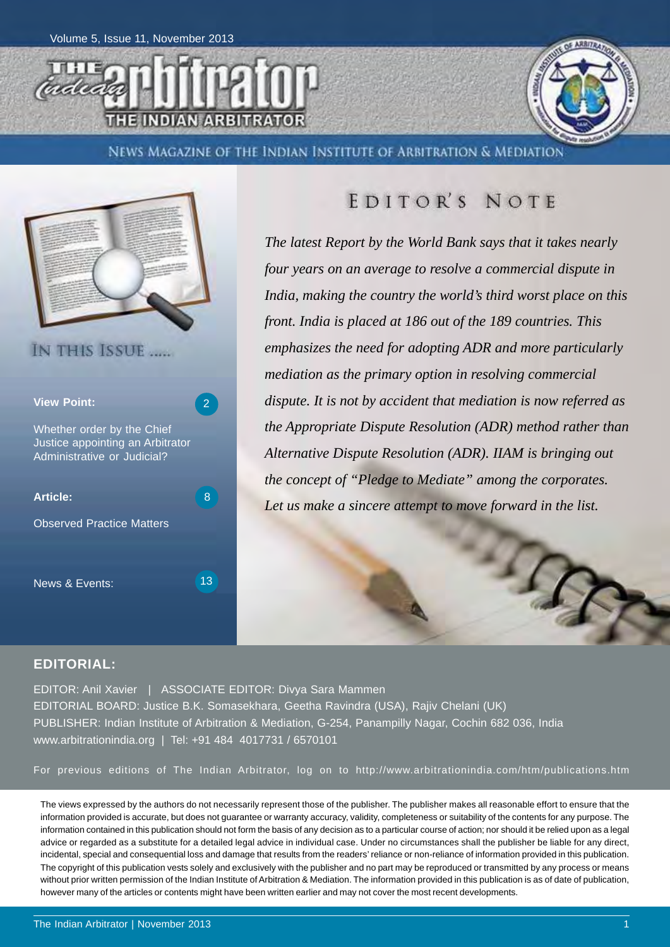



NEWS MAGAZINE OF THE INDIAN INSTITUTE OF ARBITRATION & MEDIATION



### EDITOR'S NOTE

*The latest Report by the World Bank says that it takes nearly four years on an average to resolve a commercial dispute in India, making the country the world's third worst place on this front. India is placed at 186 out of the 189 countries. This emphasizes the need for adopting ADR and more particularly mediation as the primary option in resolving commercial dispute. It is not by accident that mediation is now referred as the Appropriate Dispute Resolution (ADR) method rather than Alternative Dispute Resolution (ADR). IIAM is bringing out the concept of "Pledge to Mediate" among the corporates. Let us make a sincere attempt to move forward in the list.*

### **EDITORIAL:**

EDITOR: Anil Xavier | ASSOCIATE EDITOR: Divya Sara Mammen EDITORIAL BOARD: Justice B.K. Somasekhara, Geetha Ravindra (USA), Rajiv Chelani (UK) PUBLISHER: Indian Institute of Arbitration & Mediation, G-254, Panampilly Nagar, Cochin 682 036, India www.arbitrationindia.org | Tel: +91 484 4017731 / 6570101

For previous editions of The Indian Arbitrator, log on to http://www.arbitrationindia.com/htm/publications.htm

The views expressed by the authors do not necessarily represent those of the publisher. The publisher makes all reasonable effort to ensure that the information provided is accurate, but does not guarantee or warranty accuracy, validity, completeness or suitability of the contents for any purpose. The information contained in this publication should not form the basis of any decision as to a particular course of action; nor should it be relied upon as a legal advice or regarded as a substitute for a detailed legal advice in individual case. Under no circumstances shall the publisher be liable for any direct, incidental, special and consequential loss and damage that results from the readers' reliance or non-reliance of information provided in this publication. The copyright of this publication vests solely and exclusively with the publisher and no part may be reproduced or transmitted by any process or means without prior written permission of the Indian Institute of Arbitration & Mediation. The information provided in this publication is as of date of publication, however many of the articles or contents might have been written earlier and may not cover the most recent developments.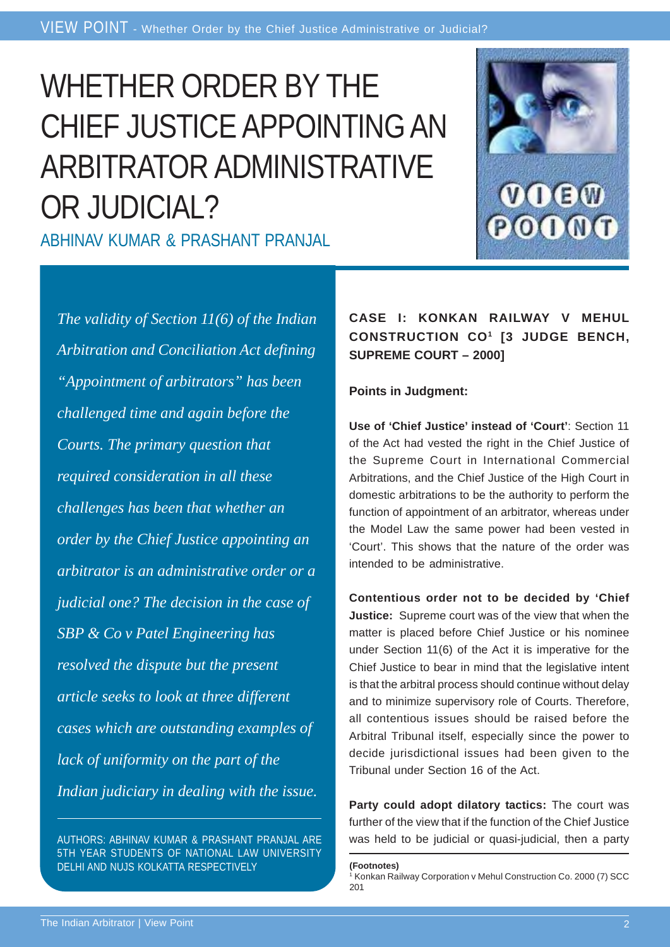# WHETHER ORDER BY THE CHIEF JUSTICE APPOINTING AN ARBITRATOR ADMINISTRATIVE OR JUDICIAL?

ABHINAV KUMAR & PRASHANT PRANJAL



*The validity of Section 11(6) of the Indian Arbitration and Conciliation Act defining "Appointment of arbitrators" has been challenged time and again before the Courts. The primary question that required consideration in all these challenges has been that whether an order by the Chief Justice appointing an arbitrator is an administrative order or a judicial one? The decision in the case of SBP & Co v Patel Engineering has resolved the dispute but the present article seeks to look at three different cases which are outstanding examples of lack of uniformity on the part of the Indian judiciary in dealing with the issue.*

AUTHORS: ABHINAV KUMAR & PRASHANT PRANJAL ARE 5TH YEAR STUDENTS OF NATIONAL LAW UNIVERSITY DELHI AND NUJS KOLKATTA RESPECTIVELY

### **CASE I: KONKAN RAILWAY V MEHUL CONSTRUCTION CO1 [3 JUDGE BENCH, SUPREME COURT – 2000]**

**Points in Judgment:**

**Use of 'Chief Justice' instead of 'Court'**: Section 11 of the Act had vested the right in the Chief Justice of the Supreme Court in International Commercial Arbitrations, and the Chief Justice of the High Court in domestic arbitrations to be the authority to perform the function of appointment of an arbitrator, whereas under the Model Law the same power had been vested in 'Court'. This shows that the nature of the order was intended to be administrative.

**Contentious order not to be decided by 'Chief Justice:** Supreme court was of the view that when the matter is placed before Chief Justice or his nominee under Section 11(6) of the Act it is imperative for the Chief Justice to bear in mind that the legislative intent is that the arbitral process should continue without delay and to minimize supervisory role of Courts. Therefore, all contentious issues should be raised before the Arbitral Tribunal itself, especially since the power to decide jurisdictional issues had been given to the Tribunal under Section 16 of the Act.

**Party could adopt dilatory tactics:** The court was further of the view that if the function of the Chief Justice was held to be judicial or quasi-judicial, then a party

**(Footnotes)**

<sup>1</sup> Konkan Railway Corporation v Mehul Construction Co. 2000 (7) SCC 201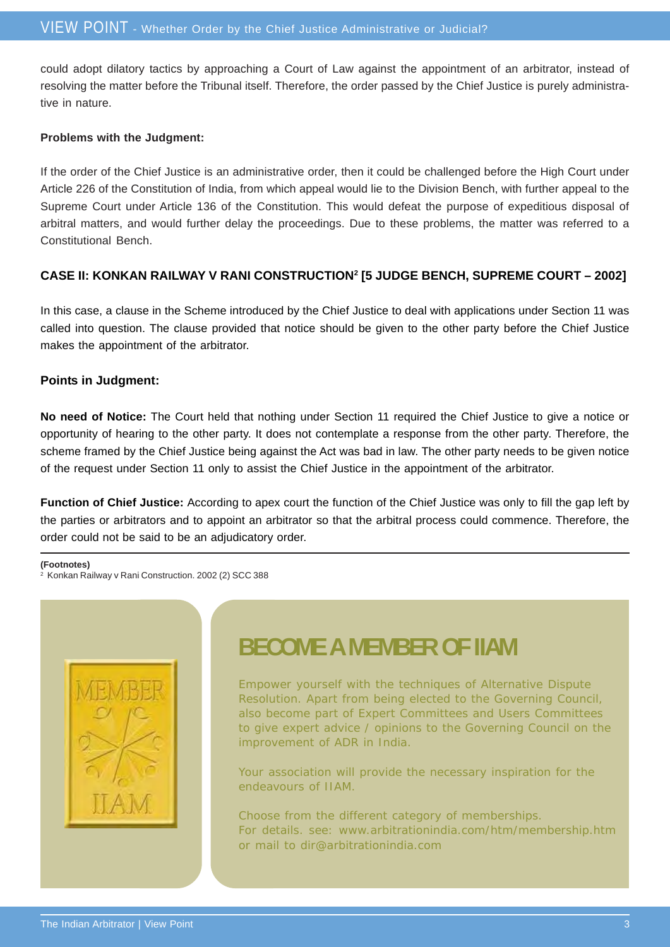could adopt dilatory tactics by approaching a Court of Law against the appointment of an arbitrator, instead of resolving the matter before the Tribunal itself. Therefore, the order passed by the Chief Justice is purely administrative in nature.

#### **Problems with the Judgment:**

If the order of the Chief Justice is an administrative order, then it could be challenged before the High Court under Article 226 of the Constitution of India, from which appeal would lie to the Division Bench, with further appeal to the Supreme Court under Article 136 of the Constitution. This would defeat the purpose of expeditious disposal of arbitral matters, and would further delay the proceedings. Due to these problems, the matter was referred to a Constitutional Bench.

### **CASE II: KONKAN RAILWAY V RANI CONSTRUCTION2 [5 JUDGE BENCH, SUPREME COURT – 2002]**

In this case, a clause in the Scheme introduced by the Chief Justice to deal with applications under Section 11 was called into question. The clause provided that notice should be given to the other party before the Chief Justice makes the appointment of the arbitrator.

### **Points in Judgment:**

**No need of Notice:** The Court held that nothing under Section 11 required the Chief Justice to give a notice or opportunity of hearing to the other party. It does not contemplate a response from the other party. Therefore, the scheme framed by the Chief Justice being against the Act was bad in law. The other party needs to be given notice of the request under Section 11 only to assist the Chief Justice in the appointment of the arbitrator.

**Function of Chief Justice:** According to apex court the function of the Chief Justice was only to fill the gap left by the parties or arbitrators and to appoint an arbitrator so that the arbitral process could commence. Therefore, the order could not be said to be an adjudicatory order.

#### **(Footnotes)**

2 Konkan Railway v Rani Construction. 2002 (2) SCC 388



## **BECOME A MEMBER OF IIAM**

Empower yourself with the techniques of Alternative Dispute Resolution. Apart from being elected to the Governing Council, also become part of Expert Committees and Users Committees to give expert advice / opinions to the Governing Council on the improvement of ADR in India.

Your association will provide the necessary inspiration for the endeavours of IIAM.

Choose from the different category of memberships. For details. see: www.arbitrationindia.com/htm/membership.htm or mail to dir@arbitrationindia.com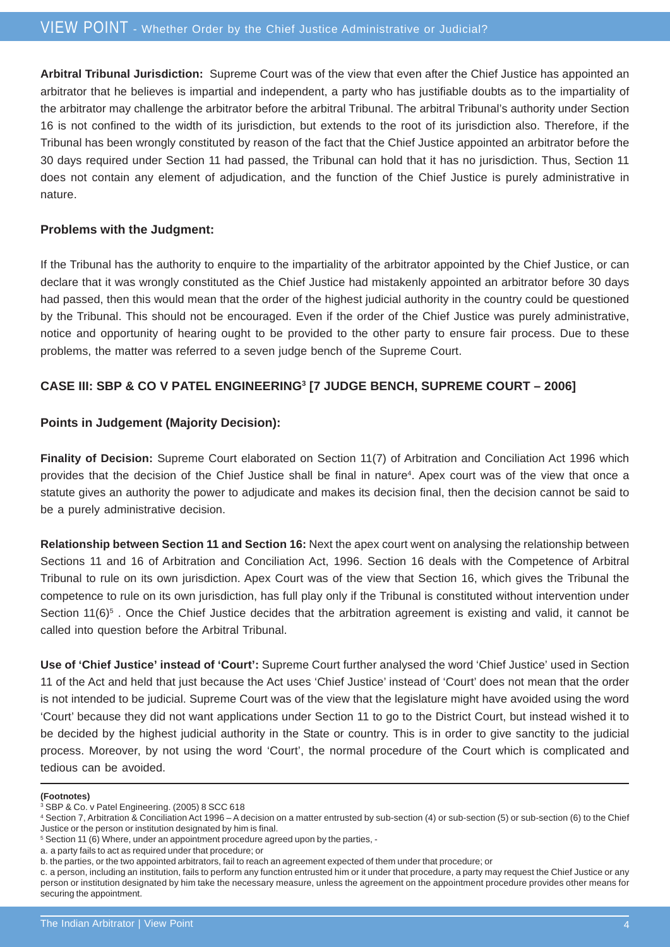**Arbitral Tribunal Jurisdiction:** Supreme Court was of the view that even after the Chief Justice has appointed an arbitrator that he believes is impartial and independent, a party who has justifiable doubts as to the impartiality of the arbitrator may challenge the arbitrator before the arbitral Tribunal. The arbitral Tribunal's authority under Section 16 is not confined to the width of its jurisdiction, but extends to the root of its jurisdiction also. Therefore, if the Tribunal has been wrongly constituted by reason of the fact that the Chief Justice appointed an arbitrator before the 30 days required under Section 11 had passed, the Tribunal can hold that it has no jurisdiction. Thus, Section 11 does not contain any element of adjudication, and the function of the Chief Justice is purely administrative in nature.

#### **Problems with the Judgment:**

If the Tribunal has the authority to enquire to the impartiality of the arbitrator appointed by the Chief Justice, or can declare that it was wrongly constituted as the Chief Justice had mistakenly appointed an arbitrator before 30 days had passed, then this would mean that the order of the highest judicial authority in the country could be questioned by the Tribunal. This should not be encouraged. Even if the order of the Chief Justice was purely administrative, notice and opportunity of hearing ought to be provided to the other party to ensure fair process. Due to these problems, the matter was referred to a seven judge bench of the Supreme Court.

### **CASE III: SBP & CO V PATEL ENGINEERING3 [7 JUDGE BENCH, SUPREME COURT – 2006]**

#### **Points in Judgement (Majority Decision):**

**Finality of Decision:** Supreme Court elaborated on Section 11(7) of Arbitration and Conciliation Act 1996 which provides that the decision of the Chief Justice shall be final in nature<sup>4</sup>. Apex court was of the view that once a statute gives an authority the power to adjudicate and makes its decision final, then the decision cannot be said to be a purely administrative decision.

**Relationship between Section 11 and Section 16:** Next the apex court went on analysing the relationship between Sections 11 and 16 of Arbitration and Conciliation Act, 1996. Section 16 deals with the Competence of Arbitral Tribunal to rule on its own jurisdiction. Apex Court was of the view that Section 16, which gives the Tribunal the competence to rule on its own jurisdiction, has full play only if the Tribunal is constituted without intervention under Section 11 $(6)^5$ . Once the Chief Justice decides that the arbitration agreement is existing and valid, it cannot be called into question before the Arbitral Tribunal.

**Use of 'Chief Justice' instead of 'Court':** Supreme Court further analysed the word 'Chief Justice' used in Section 11 of the Act and held that just because the Act uses 'Chief Justice' instead of 'Court' does not mean that the order is not intended to be judicial. Supreme Court was of the view that the legislature might have avoided using the word 'Court' because they did not want applications under Section 11 to go to the District Court, but instead wished it to be decided by the highest judicial authority in the State or country. This is in order to give sanctity to the judicial process. Moreover, by not using the word 'Court', the normal procedure of the Court which is complicated and tedious can be avoided.

#### **(Footnotes)**

<sup>3</sup> SBP & Co. v Patel Engineering. (2005) 8 SCC 618

<sup>4</sup> Section 7, Arbitration & Conciliation Act 1996 – A decision on a matter entrusted by sub-section (4) or sub-section (5) or sub-section (6) to the Chief Justice or the person or institution designated by him is final.

<sup>5</sup> Section 11 (6) Where, under an appointment procedure agreed upon by the parties, -

a. a party fails to act as required under that procedure; or

b. the parties, or the two appointed arbitrators, fail to reach an agreement expected of them under that procedure; or

c. a person, including an institution, fails to perform any function entrusted him or it under that procedure, a party may request the Chief Justice or any person or institution designated by him take the necessary measure, unless the agreement on the appointment procedure provides other means for securing the appointment.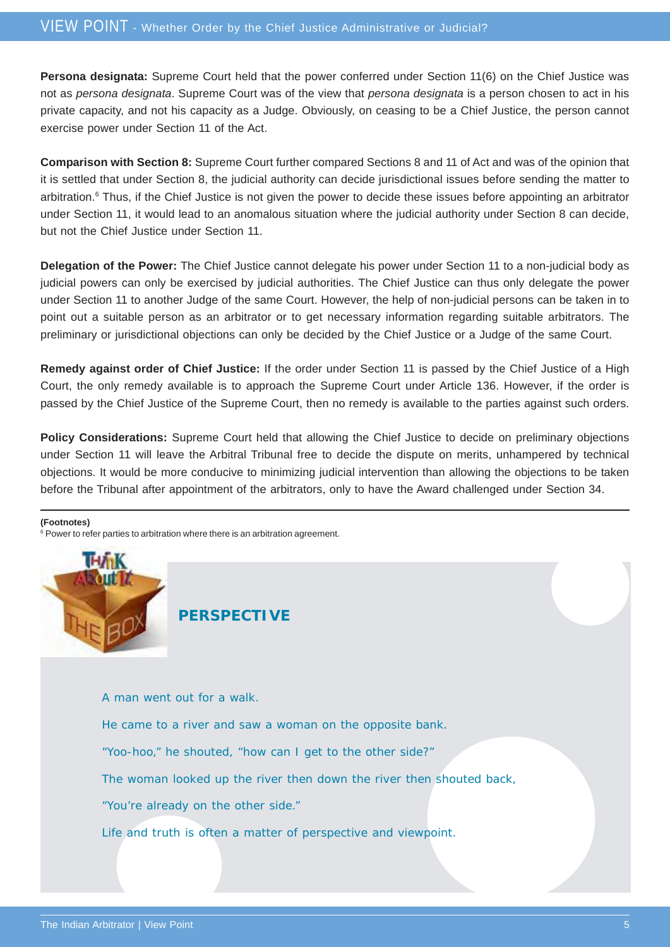**Persona designata:** Supreme Court held that the power conferred under Section 11(6) on the Chief Justice was not as *persona designata*. Supreme Court was of the view that *persona designata* is a person chosen to act in his private capacity, and not his capacity as a Judge. Obviously, on ceasing to be a Chief Justice, the person cannot exercise power under Section 11 of the Act.

**Comparison with Section 8:** Supreme Court further compared Sections 8 and 11 of Act and was of the opinion that it is settled that under Section 8, the judicial authority can decide jurisdictional issues before sending the matter to arbitration.<sup>6</sup> Thus, if the Chief Justice is not given the power to decide these issues before appointing an arbitrator under Section 11, it would lead to an anomalous situation where the judicial authority under Section 8 can decide, but not the Chief Justice under Section 11.

**Delegation of the Power:** The Chief Justice cannot delegate his power under Section 11 to a non-judicial body as judicial powers can only be exercised by judicial authorities. The Chief Justice can thus only delegate the power under Section 11 to another Judge of the same Court. However, the help of non-judicial persons can be taken in to point out a suitable person as an arbitrator or to get necessary information regarding suitable arbitrators. The preliminary or jurisdictional objections can only be decided by the Chief Justice or a Judge of the same Court.

**Remedy against order of Chief Justice:** If the order under Section 11 is passed by the Chief Justice of a High Court, the only remedy available is to approach the Supreme Court under Article 136. However, if the order is passed by the Chief Justice of the Supreme Court, then no remedy is available to the parties against such orders.

**Policy Considerations:** Supreme Court held that allowing the Chief Justice to decide on preliminary objections under Section 11 will leave the Arbitral Tribunal free to decide the dispute on merits, unhampered by technical objections. It would be more conducive to minimizing judicial intervention than allowing the objections to be taken before the Tribunal after appointment of the arbitrators, only to have the Award challenged under Section 34.

#### **(Footnotes)**

<sup>6</sup> Power to refer parties to arbitration where there is an arbitration agreement.



**PERSPECTIVE**

A man went out for a walk.

He came to a river and saw a woman on the opposite bank.

"Yoo-hoo," he shouted, "how can I get to the other side?"

The woman looked up the river then down the river then shouted back,

"You're already on the other side."

Life and truth is often a matter of perspective and viewpoint.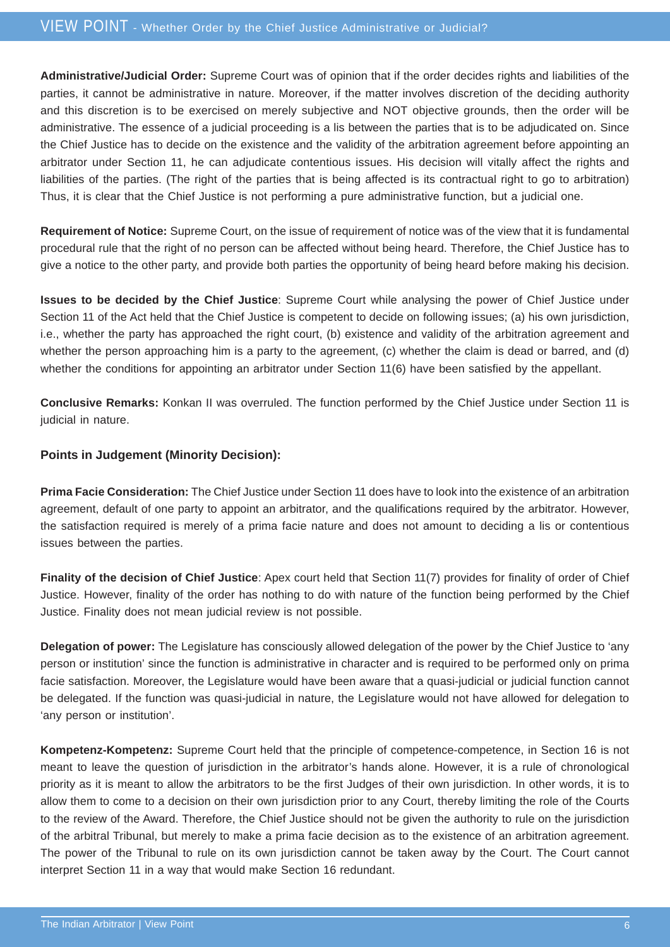**Administrative/Judicial Order:** Supreme Court was of opinion that if the order decides rights and liabilities of the parties, it cannot be administrative in nature. Moreover, if the matter involves discretion of the deciding authority and this discretion is to be exercised on merely subjective and NOT objective grounds, then the order will be administrative. The essence of a judicial proceeding is a lis between the parties that is to be adjudicated on. Since the Chief Justice has to decide on the existence and the validity of the arbitration agreement before appointing an arbitrator under Section 11, he can adjudicate contentious issues. His decision will vitally affect the rights and liabilities of the parties. (The right of the parties that is being affected is its contractual right to go to arbitration) Thus, it is clear that the Chief Justice is not performing a pure administrative function, but a judicial one.

**Requirement of Notice:** Supreme Court, on the issue of requirement of notice was of the view that it is fundamental procedural rule that the right of no person can be affected without being heard. Therefore, the Chief Justice has to give a notice to the other party, and provide both parties the opportunity of being heard before making his decision.

**Issues to be decided by the Chief Justice**: Supreme Court while analysing the power of Chief Justice under Section 11 of the Act held that the Chief Justice is competent to decide on following issues; (a) his own jurisdiction, i.e., whether the party has approached the right court, (b) existence and validity of the arbitration agreement and whether the person approaching him is a party to the agreement, (c) whether the claim is dead or barred, and (d) whether the conditions for appointing an arbitrator under Section 11(6) have been satisfied by the appellant.

**Conclusive Remarks:** Konkan II was overruled. The function performed by the Chief Justice under Section 11 is judicial in nature.

### **Points in Judgement (Minority Decision):**

**Prima Facie Consideration:** The Chief Justice under Section 11 does have to look into the existence of an arbitration agreement, default of one party to appoint an arbitrator, and the qualifications required by the arbitrator. However, the satisfaction required is merely of a prima facie nature and does not amount to deciding a lis or contentious issues between the parties.

**Finality of the decision of Chief Justice**: Apex court held that Section 11(7) provides for finality of order of Chief Justice. However, finality of the order has nothing to do with nature of the function being performed by the Chief Justice. Finality does not mean judicial review is not possible.

**Delegation of power:** The Legislature has consciously allowed delegation of the power by the Chief Justice to 'any person or institution' since the function is administrative in character and is required to be performed only on prima facie satisfaction. Moreover, the Legislature would have been aware that a quasi-judicial or judicial function cannot be delegated. If the function was quasi-judicial in nature, the Legislature would not have allowed for delegation to 'any person or institution'.

**Kompetenz-Kompetenz:** Supreme Court held that the principle of competence-competence, in Section 16 is not meant to leave the question of jurisdiction in the arbitrator's hands alone. However, it is a rule of chronological priority as it is meant to allow the arbitrators to be the first Judges of their own jurisdiction. In other words, it is to allow them to come to a decision on their own jurisdiction prior to any Court, thereby limiting the role of the Courts to the review of the Award. Therefore, the Chief Justice should not be given the authority to rule on the jurisdiction of the arbitral Tribunal, but merely to make a prima facie decision as to the existence of an arbitration agreement. The power of the Tribunal to rule on its own jurisdiction cannot be taken away by the Court. The Court cannot interpret Section 11 in a way that would make Section 16 redundant.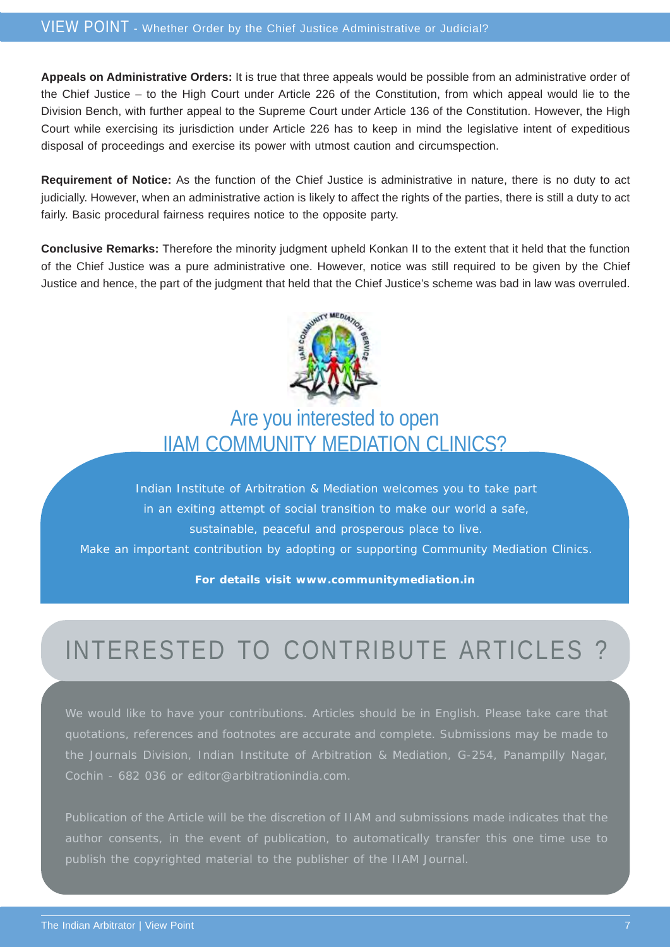**Appeals on Administrative Orders:** It is true that three appeals would be possible from an administrative order of the Chief Justice – to the High Court under Article 226 of the Constitution, from which appeal would lie to the Division Bench, with further appeal to the Supreme Court under Article 136 of the Constitution. However, the High Court while exercising its jurisdiction under Article 226 has to keep in mind the legislative intent of expeditious disposal of proceedings and exercise its power with utmost caution and circumspection.

**Requirement of Notice:** As the function of the Chief Justice is administrative in nature, there is no duty to act judicially. However, when an administrative action is likely to affect the rights of the parties, there is still a duty to act fairly. Basic procedural fairness requires notice to the opposite party.

**Conclusive Remarks:** Therefore the minority judgment upheld Konkan II to the extent that it held that the function of the Chief Justice was a pure administrative one. However, notice was still required to be given by the Chief Justice and hence, the part of the judgment that held that the Chief Justice's scheme was bad in law was overruled.



## Are you interested to open IIAM COMMUNITY MEDIATION CLINICS?

Indian Institute of Arbitration & Mediation welcomes you to take part in an exiting attempt of social transition to make our world a safe, sustainable, peaceful and prosperous place to live. Make an important contribution by adopting or supporting Community Mediation Clinics.

**For details visit www.communitymediation.in**

# INTERESTED TO CONTRIBUTE ARTICLES ?

We would like to have your contributions. Articles should be in English. Please take care that quotations, references and footnotes are accurate and complete. Submissions may be made to the Journals Division, Indian Institute of Arbitration & Mediation, G-254, Panampilly Nagar, Cochin - 682 036 or editor@arbitrationindia.com.

Publication of the Article will be the discretion of IIAM and submissions made indicates that the publish the copyrighted material to the publisher of the IIAM Journal.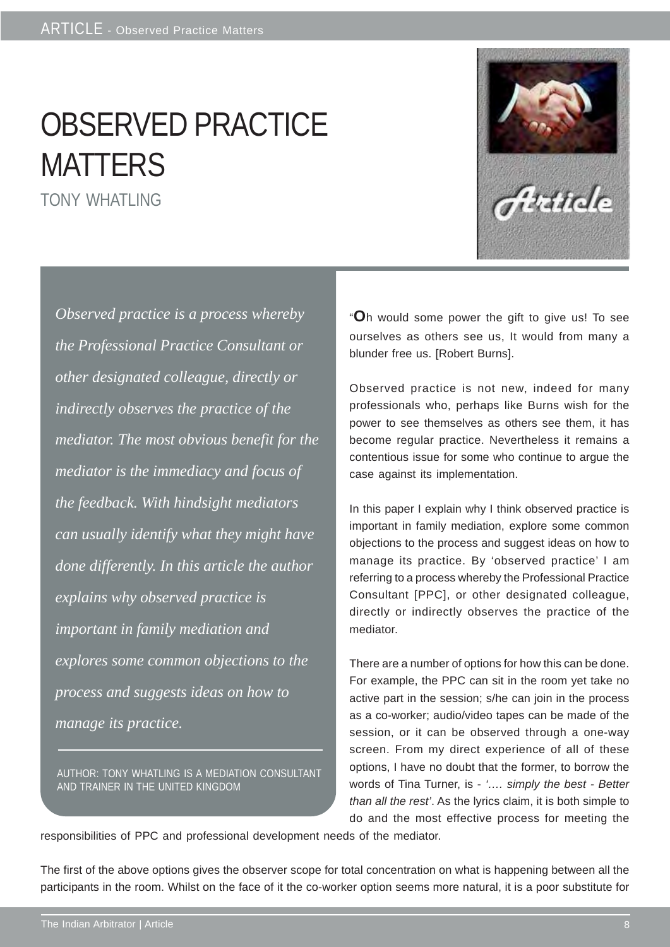## OBSERVED PRACTICE **MATTERS** TONY WHATLING

*Observed practice is a process whereby the Professional Practice Consultant or other designated colleague, directly or indirectly observes the practice of the mediator. The most obvious benefit for the mediator is the immediacy and focus of the feedback. With hindsight mediators can usually identify what they might have done differently. In this article the author explains why observed practice is important in family mediation and explores some common objections to the process and suggests ideas on how to manage its practice.*

AUTHOR: TONY WHATLING IS A MEDIATION CONSULTANT AND TRAINER IN THE UNITED KINGDOM



"**O**h would some power the gift to give us! To see ourselves as others see us, It would from many a blunder free us. [Robert Burns].

Observed practice is not new, indeed for many professionals who, perhaps like Burns wish for the power to see themselves as others see them, it has become regular practice. Nevertheless it remains a contentious issue for some who continue to argue the case against its implementation.

In this paper I explain why I think observed practice is important in family mediation, explore some common objections to the process and suggest ideas on how to manage its practice. By 'observed practice' I am referring to a process whereby the Professional Practice Consultant [PPC], or other designated colleague, directly or indirectly observes the practice of the mediator.

There are a number of options for how this can be done. For example, the PPC can sit in the room yet take no active part in the session; s/he can join in the process as a co-worker; audio/video tapes can be made of the session, or it can be observed through a one-way screen. From my direct experience of all of these options, I have no doubt that the former, to borrow the words of Tina Turner, is - *'…. simply the best - Better than all the rest'*. As the lyrics claim, it is both simple to do and the most effective process for meeting the

responsibilities of PPC and professional development needs of the mediator.

The first of the above options gives the observer scope for total concentration on what is happening between all the participants in the room. Whilst on the face of it the co-worker option seems more natural, it is a poor substitute for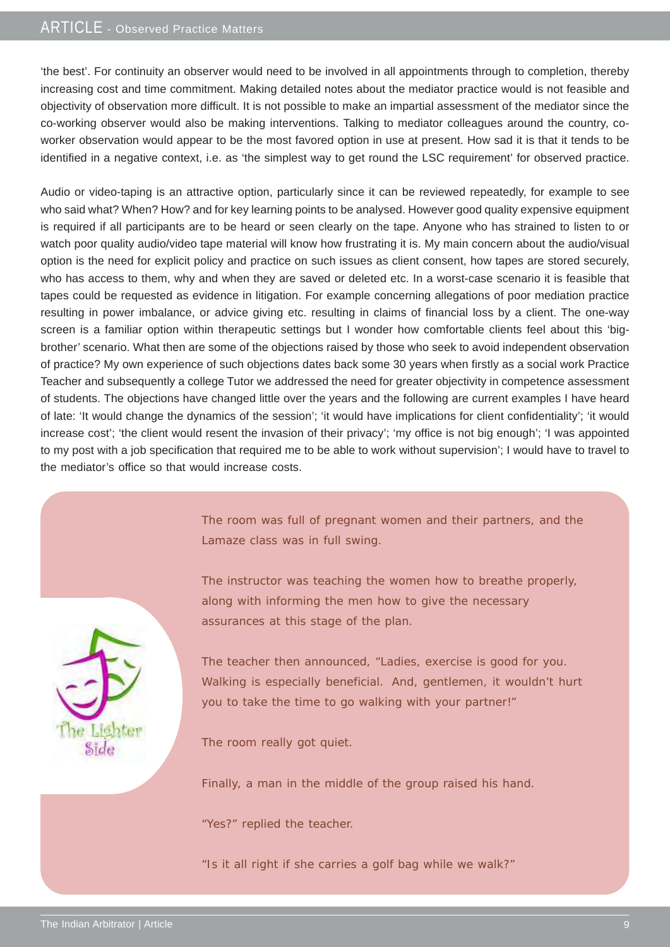### ARTICLE - Observed Practice Matters

'the best'. For continuity an observer would need to be involved in all appointments through to completion, thereby increasing cost and time commitment. Making detailed notes about the mediator practice would is not feasible and objectivity of observation more difficult. It is not possible to make an impartial assessment of the mediator since the co-working observer would also be making interventions. Talking to mediator colleagues around the country, coworker observation would appear to be the most favored option in use at present. How sad it is that it tends to be identified in a negative context, i.e. as 'the simplest way to get round the LSC requirement' for observed practice.

Audio or video-taping is an attractive option, particularly since it can be reviewed repeatedly, for example to see who said what? When? How? and for key learning points to be analysed. However good quality expensive equipment is required if all participants are to be heard or seen clearly on the tape. Anyone who has strained to listen to or watch poor quality audio/video tape material will know how frustrating it is. My main concern about the audio/visual option is the need for explicit policy and practice on such issues as client consent, how tapes are stored securely, who has access to them, why and when they are saved or deleted etc. In a worst-case scenario it is feasible that tapes could be requested as evidence in litigation. For example concerning allegations of poor mediation practice resulting in power imbalance, or advice giving etc. resulting in claims of financial loss by a client. The one-way screen is a familiar option within therapeutic settings but I wonder how comfortable clients feel about this 'bigbrother' scenario. What then are some of the objections raised by those who seek to avoid independent observation of practice? My own experience of such objections dates back some 30 years when firstly as a social work Practice Teacher and subsequently a college Tutor we addressed the need for greater objectivity in competence assessment of students. The objections have changed little over the years and the following are current examples I have heard of late: 'It would change the dynamics of the session'; 'it would have implications for client confidentiality'; 'it would increase cost'; 'the client would resent the invasion of their privacy'; 'my office is not big enough'; 'I was appointed to my post with a job specification that required me to be able to work without supervision'; I would have to travel to the mediator's office so that would increase costs.

> The room was full of pregnant women and their partners, and the Lamaze class was in full swing.

The instructor was teaching the women how to breathe properly, along with informing the men how to give the necessary assurances at this stage of the plan.

The teacher then announced, "Ladies, exercise is good for you. Walking is especially beneficial. And, gentlemen, it wouldn't hurt you to take the time to go walking with your partner!"

The room really got quiet.

Finally, a man in the middle of the group raised his hand.

"Yes?" replied the teacher.

"Is it all right if she carries a golf bag while we walk?"

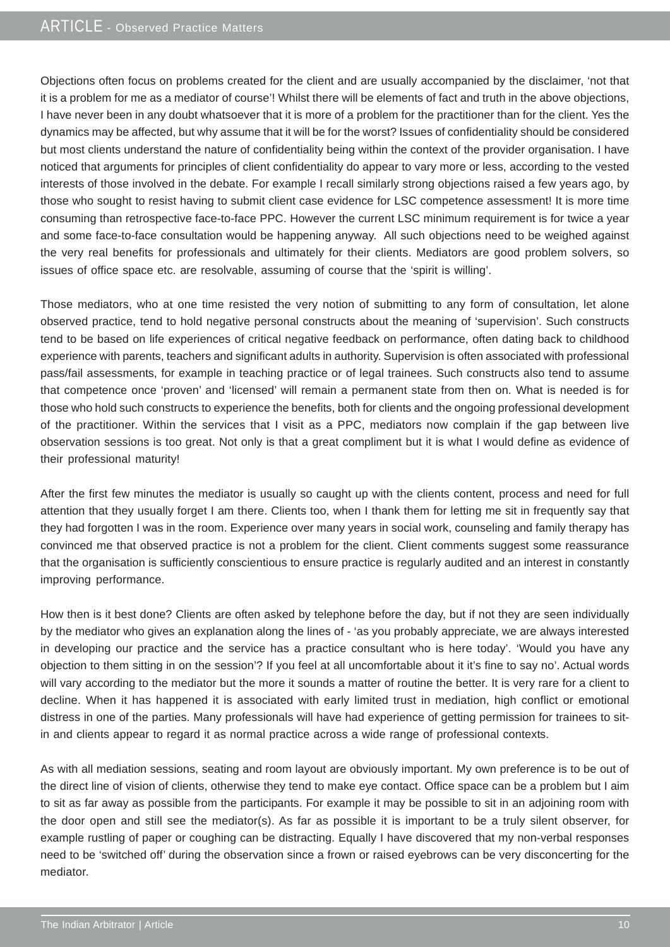### ARTICLE - Observed Practice Matters

Objections often focus on problems created for the client and are usually accompanied by the disclaimer, 'not that it is a problem for me as a mediator of course'! Whilst there will be elements of fact and truth in the above objections, I have never been in any doubt whatsoever that it is more of a problem for the practitioner than for the client. Yes the dynamics may be affected, but why assume that it will be for the worst? Issues of confidentiality should be considered but most clients understand the nature of confidentiality being within the context of the provider organisation. I have noticed that arguments for principles of client confidentiality do appear to vary more or less, according to the vested interests of those involved in the debate. For example I recall similarly strong objections raised a few years ago, by those who sought to resist having to submit client case evidence for LSC competence assessment! It is more time consuming than retrospective face-to-face PPC. However the current LSC minimum requirement is for twice a year and some face-to-face consultation would be happening anyway. All such objections need to be weighed against the very real benefits for professionals and ultimately for their clients. Mediators are good problem solvers, so issues of office space etc. are resolvable, assuming of course that the 'spirit is willing'.

Those mediators, who at one time resisted the very notion of submitting to any form of consultation, let alone observed practice, tend to hold negative personal constructs about the meaning of 'supervision'. Such constructs tend to be based on life experiences of critical negative feedback on performance, often dating back to childhood experience with parents, teachers and significant adults in authority. Supervision is often associated with professional pass/fail assessments, for example in teaching practice or of legal trainees. Such constructs also tend to assume that competence once 'proven' and 'licensed' will remain a permanent state from then on. What is needed is for those who hold such constructs to experience the benefits, both for clients and the ongoing professional development of the practitioner. Within the services that I visit as a PPC, mediators now complain if the gap between live observation sessions is too great. Not only is that a great compliment but it is what I would define as evidence of their professional maturity!

After the first few minutes the mediator is usually so caught up with the clients content, process and need for full attention that they usually forget I am there. Clients too, when I thank them for letting me sit in frequently say that they had forgotten I was in the room. Experience over many years in social work, counseling and family therapy has convinced me that observed practice is not a problem for the client. Client comments suggest some reassurance that the organisation is sufficiently conscientious to ensure practice is regularly audited and an interest in constantly improving performance.

How then is it best done? Clients are often asked by telephone before the day, but if not they are seen individually by the mediator who gives an explanation along the lines of - 'as you probably appreciate, we are always interested in developing our practice and the service has a practice consultant who is here today'. 'Would you have any objection to them sitting in on the session'? If you feel at all uncomfortable about it it's fine to say no'. Actual words will vary according to the mediator but the more it sounds a matter of routine the better. It is very rare for a client to decline. When it has happened it is associated with early limited trust in mediation, high conflict or emotional distress in one of the parties. Many professionals will have had experience of getting permission for trainees to sitin and clients appear to regard it as normal practice across a wide range of professional contexts.

As with all mediation sessions, seating and room layout are obviously important. My own preference is to be out of the direct line of vision of clients, otherwise they tend to make eye contact. Office space can be a problem but I aim to sit as far away as possible from the participants. For example it may be possible to sit in an adjoining room with the door open and still see the mediator(s). As far as possible it is important to be a truly silent observer, for example rustling of paper or coughing can be distracting. Equally I have discovered that my non-verbal responses need to be 'switched off' during the observation since a frown or raised eyebrows can be very disconcerting for the mediator.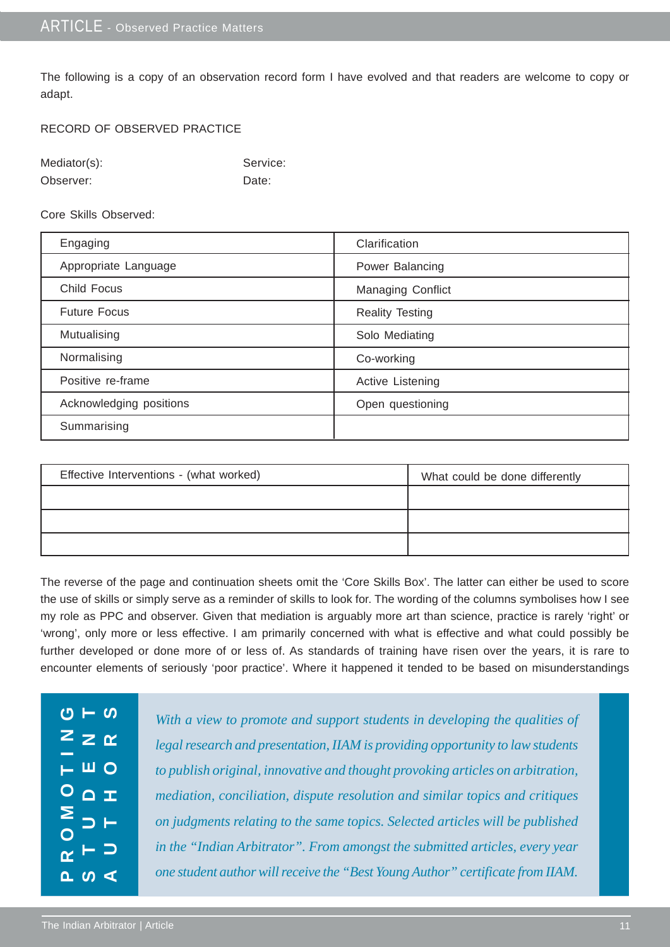The following is a copy of an observation record form I have evolved and that readers are welcome to copy or adapt.

#### RECORD OF OBSERVED PRACTICE

| Mediator(s): | Service: |
|--------------|----------|
| Observer:    | Date:    |

Core Skills Observed:

| Engaging                | Clarification          |
|-------------------------|------------------------|
| Appropriate Language    | Power Balancing        |
| <b>Child Focus</b>      | Managing Conflict      |
| <b>Future Focus</b>     | <b>Reality Testing</b> |
| Mutualising             | Solo Mediating         |
| Normalising             | Co-working             |
| Positive re-frame       | Active Listening       |
| Acknowledging positions | Open questioning       |
| Summarising             |                        |

| Effective Interventions - (what worked) | What could be done differently |
|-----------------------------------------|--------------------------------|
|                                         |                                |
|                                         |                                |
|                                         |                                |

The reverse of the page and continuation sheets omit the 'Core Skills Box'. The latter can either be used to score the use of skills or simply serve as a reminder of skills to look for. The wording of the columns symbolises how I see my role as PPC and observer. Given that mediation is arguably more art than science, practice is rarely 'right' or 'wrong', only more or less effective. I am primarily concerned with what is effective and what could possibly be further developed or done more of or less of. As standards of training have risen over the years, it is rare to encounter elements of seriously 'poor practice'. Where it happened it tended to be based on misunderstandings

| With a view to promote and support students in developing the qualities of     |
|--------------------------------------------------------------------------------|
| legal research and presentation, IIAM is providing opportunity to law students |
| to publish original, innovative and thought provoking articles on arbitration, |
| mediation, conciliation, dispute resolution and similar topics and critiques   |
| on judgments relating to the same topics. Selected articles will be published  |
| in the "Indian Arbitrator". From amongst the submitted articles, every year    |
| one student author will receive the "Best Young Author" certificate from IIAM. |
|                                                                                |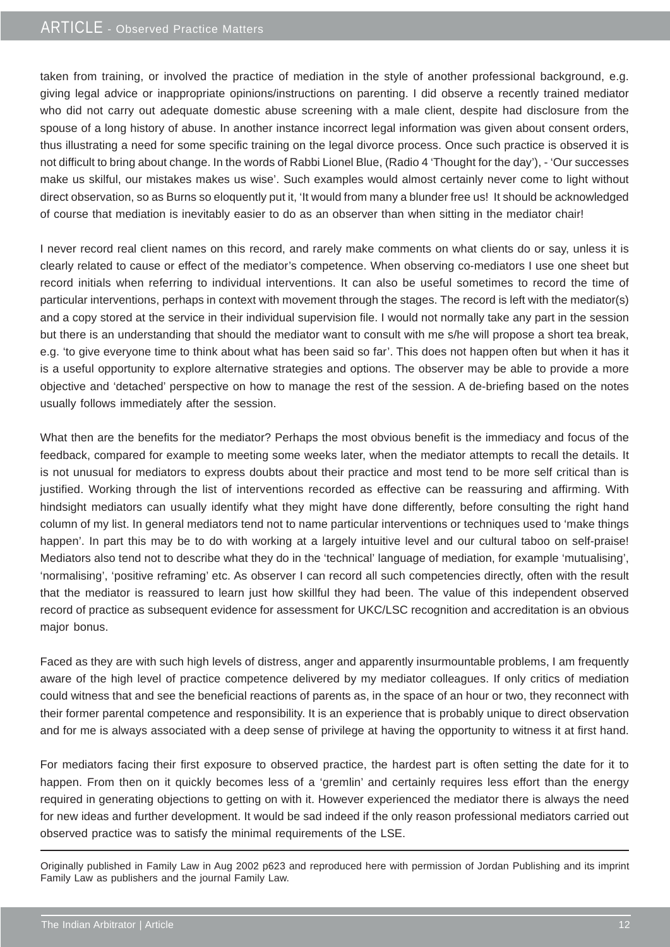### ARTICLE - Observed Practice Matters

taken from training, or involved the practice of mediation in the style of another professional background, e.g. giving legal advice or inappropriate opinions/instructions on parenting. I did observe a recently trained mediator who did not carry out adequate domestic abuse screening with a male client, despite had disclosure from the spouse of a long history of abuse. In another instance incorrect legal information was given about consent orders, thus illustrating a need for some specific training on the legal divorce process. Once such practice is observed it is not difficult to bring about change. In the words of Rabbi Lionel Blue, (Radio 4 'Thought for the day'), - 'Our successes make us skilful, our mistakes makes us wise'. Such examples would almost certainly never come to light without direct observation, so as Burns so eloquently put it, 'It would from many a blunder free us! It should be acknowledged of course that mediation is inevitably easier to do as an observer than when sitting in the mediator chair!

I never record real client names on this record, and rarely make comments on what clients do or say, unless it is clearly related to cause or effect of the mediator's competence. When observing co-mediators I use one sheet but record initials when referring to individual interventions. It can also be useful sometimes to record the time of particular interventions, perhaps in context with movement through the stages. The record is left with the mediator(s) and a copy stored at the service in their individual supervision file. I would not normally take any part in the session but there is an understanding that should the mediator want to consult with me s/he will propose a short tea break, e.g. 'to give everyone time to think about what has been said so far'. This does not happen often but when it has it is a useful opportunity to explore alternative strategies and options. The observer may be able to provide a more objective and 'detached' perspective on how to manage the rest of the session. A de-briefing based on the notes usually follows immediately after the session.

What then are the benefits for the mediator? Perhaps the most obvious benefit is the immediacy and focus of the feedback, compared for example to meeting some weeks later, when the mediator attempts to recall the details. It is not unusual for mediators to express doubts about their practice and most tend to be more self critical than is justified. Working through the list of interventions recorded as effective can be reassuring and affirming. With hindsight mediators can usually identify what they might have done differently, before consulting the right hand column of my list. In general mediators tend not to name particular interventions or techniques used to 'make things happen'. In part this may be to do with working at a largely intuitive level and our cultural taboo on self-praise! Mediators also tend not to describe what they do in the 'technical' language of mediation, for example 'mutualising', 'normalising', 'positive reframing' etc. As observer I can record all such competencies directly, often with the result that the mediator is reassured to learn just how skillful they had been. The value of this independent observed record of practice as subsequent evidence for assessment for UKC/LSC recognition and accreditation is an obvious major bonus.

Faced as they are with such high levels of distress, anger and apparently insurmountable problems, I am frequently aware of the high level of practice competence delivered by my mediator colleagues. If only critics of mediation could witness that and see the beneficial reactions of parents as, in the space of an hour or two, they reconnect with their former parental competence and responsibility. It is an experience that is probably unique to direct observation and for me is always associated with a deep sense of privilege at having the opportunity to witness it at first hand.

For mediators facing their first exposure to observed practice, the hardest part is often setting the date for it to happen. From then on it quickly becomes less of a 'gremlin' and certainly requires less effort than the energy required in generating objections to getting on with it. However experienced the mediator there is always the need for new ideas and further development. It would be sad indeed if the only reason professional mediators carried out observed practice was to satisfy the minimal requirements of the LSE.

Originally published in Family Law in Aug 2002 p623 and reproduced here with permission of Jordan Publishing and its imprint Family Law as publishers and the journal Family Law.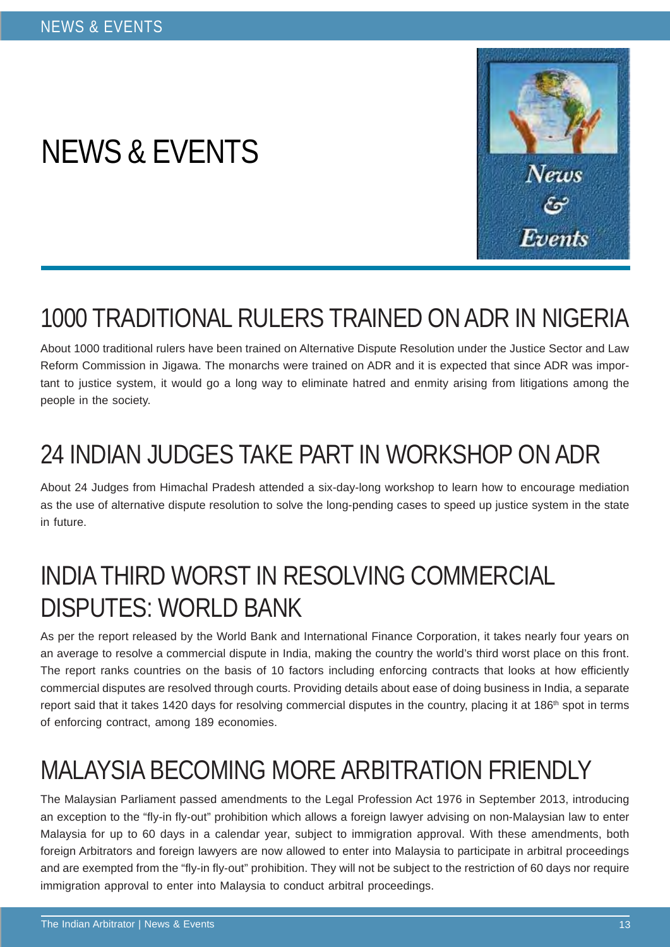# NEWS & EVENTS



# 1000 TRADITIONAL RULERS TRAINED ON ADR IN NIGERIA

About 1000 traditional rulers have been trained on Alternative Dispute Resolution under the Justice Sector and Law Reform Commission in Jigawa. The monarchs were trained on ADR and it is expected that since ADR was important to justice system, it would go a long way to eliminate hatred and enmity arising from litigations among the people in the society.

# 24 INDIAN JUDGES TAKE PART IN WORKSHOP ON ADR

About 24 Judges from Himachal Pradesh attended a six-day-long workshop to learn how to encourage mediation as the use of alternative dispute resolution to solve the long-pending cases to speed up justice system in the state in future.

## INDIA THIRD WORST IN RESOLVING COMMERCIAL DISPUTES: WORLD BANK

As per the report released by the World Bank and International Finance Corporation, it takes nearly four years on an average to resolve a commercial dispute in India, making the country the world's third worst place on this front. The report ranks countries on the basis of 10 factors including enforcing contracts that looks at how efficiently commercial disputes are resolved through courts. Providing details about ease of doing business in India, a separate report said that it takes 1420 days for resolving commercial disputes in the country, placing it at 186<sup>th</sup> spot in terms of enforcing contract, among 189 economies.

# MALAYSIA BECOMING MORE ARBITRATION FRIENDLY

The Malaysian Parliament passed amendments to the Legal Profession Act 1976 in September 2013, introducing an exception to the "fly-in fly-out" prohibition which allows a foreign lawyer advising on non-Malaysian law to enter Malaysia for up to 60 days in a calendar year, subject to immigration approval. With these amendments, both foreign Arbitrators and foreign lawyers are now allowed to enter into Malaysia to participate in arbitral proceedings and are exempted from the "fly-in fly-out" prohibition. They will not be subject to the restriction of 60 days nor require immigration approval to enter into Malaysia to conduct arbitral proceedings.